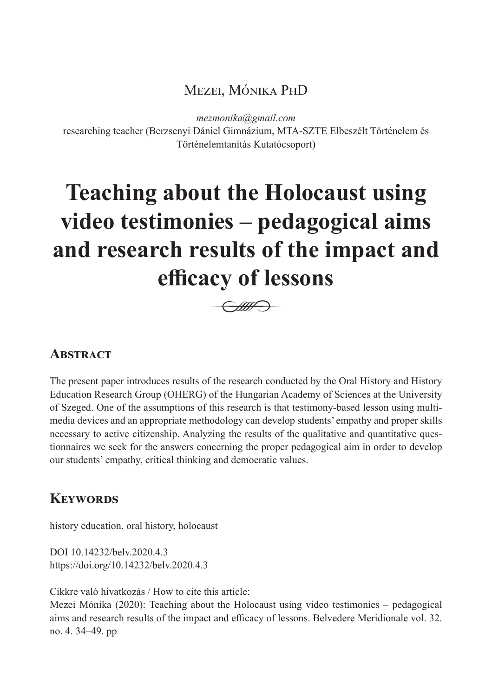# Mezei, Mónika PhD

*mezmonika@gmail.com*

researching teacher (Berzsenyi Dániel Gimnázium, MTA-SZTE Elbeszélt Történelem és Történelemtanítás Kutatócsoport)

# **Teaching about the Holocaust using video testimonies – pedagogical aims and research results of the impact and efficacy of lessons**



# **ABSTRACT**

The present paper introduces results of the research conducted by the Oral History and History Education Research Group (OHERG) of the Hungarian Academy of Sciences at the University of Szeged. One of the assumptions of this research is that testimony-based lesson using multimedia devices and an appropriate methodology can develop students' empathy and proper skills necessary to active citizenship. Analyzing the results of the qualitative and quantitative questionnaires we seek for the answers concerning the proper pedagogical aim in order to develop our students' empathy, critical thinking and democratic values.

# **Keywords**

history education, oral history, holocaust

DOI 10.14232/belv.2020.4.3 https://doi.org/10.14232/belv.2020.4.3

Cikkre való hivatkozás / How to cite this article:

Mezei Mónika (2020): Teaching about the Holocaust using video testimonies – pedagogical aims and research results of the impact and efficacy of lessons. Belvedere Meridionale vol. 32. no. 4. 34–49. pp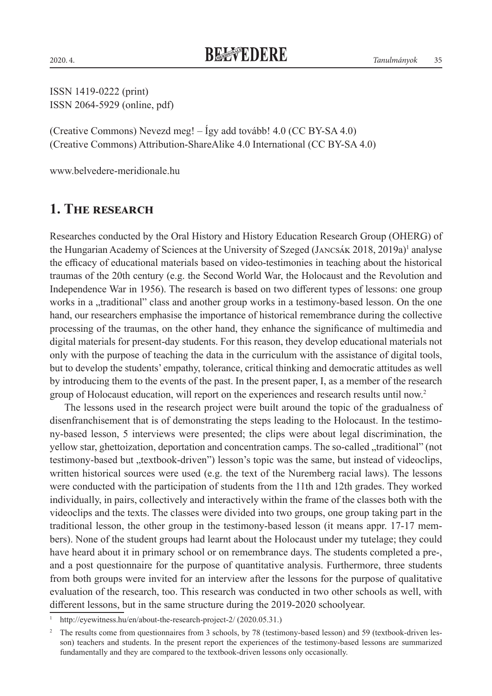ISSN 1419-0222 (print) ISSN 2064-5929 (online, pdf)

(Creative Commons) Nevezd meg! – Így add tovább! 4.0 (CC BY-SA 4.0) (Creative Commons) Attribution-ShareAlike 4.0 International (CC BY-SA 4.0)

www.belvedere-meridionale.hu

## **1. The research**

Researches conducted by the Oral History and History Education Research Group (OHERG) of the Hungarian Academy of Sciences at the University of Szeged (JANCSÁK 2018, 2019a)<sup>1</sup> analyse the efficacy of educational materials based on video-testimonies in teaching about the historical traumas of the 20th century (e.g. the Second World War, the Holocaust and the Revolution and Independence War in 1956). The research is based on two different types of lessons: one group works in a "traditional" class and another group works in a testimony-based lesson. On the one hand, our researchers emphasise the importance of historical remembrance during the collective processing of the traumas, on the other hand, they enhance the significance of multimedia and digital materials for present-day students. For this reason, they develop educational materials not only with the purpose of teaching the data in the curriculum with the assistance of digital tools, but to develop the students' empathy, tolerance, critical thinking and democratic attitudes as well by introducing them to the events of the past. In the present paper, I, as a member of the research group of Holocaust education, will report on the experiences and research results until now.2

The lessons used in the research project were built around the topic of the gradualness of disenfranchisement that is of demonstrating the steps leading to the Holocaust. In the testimony-based lesson, 5 interviews were presented; the clips were about legal discrimination, the yellow star, ghettoization, deportation and concentration camps. The so-called "traditional" (not testimony-based but "textbook-driven") lesson's topic was the same, but instead of videoclips, written historical sources were used (e.g. the text of the Nuremberg racial laws). The lessons were conducted with the participation of students from the 11th and 12th grades. They worked individually, in pairs, collectively and interactively within the frame of the classes both with the videoclips and the texts. The classes were divided into two groups, one group taking part in the traditional lesson, the other group in the testimony-based lesson (it means appr. 17-17 members). None of the student groups had learnt about the Holocaust under my tutelage; they could have heard about it in primary school or on remembrance days. The students completed a pre-, and a post questionnaire for the purpose of quantitative analysis. Furthermore, three students from both groups were invited for an interview after the lessons for the purpose of qualitative evaluation of the research, too. This research was conducted in two other schools as well, with different lessons, but in the same structure during the 2019-2020 schoolyear.

http://eyewitness.hu/en/about-the-research-project-2/ (2020.05.31.)

<sup>&</sup>lt;sup>2</sup> The results come from questionnaires from 3 schools, by 78 (testimony-based lesson) and 59 (textbook-driven lesson) teachers and students. In the present report the experiences of the testimony-based lessons are summarized fundamentally and they are compared to the textbook-driven lessons only occasionally.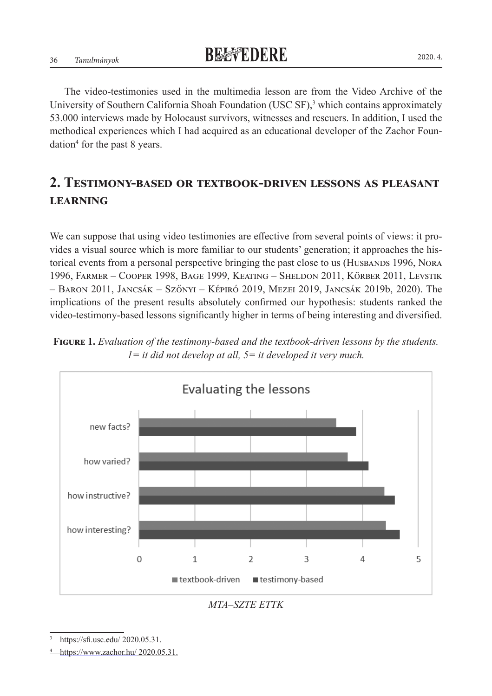The video-testimonies used in the multimedia lesson are from the Video Archive of the University of Southern California Shoah Foundation (USC SF),<sup>3</sup> which contains approximately 53.000 interviews made by Holocaust survivors, witnesses and rescuers. In addition, I used the methodical experiences which I had acquired as an educational developer of the Zachor Foundation<sup>4</sup> for the past 8 years.

# **2. Testimony-based or textbook-driven lessons as pleasant learning**

We can suppose that using video testimonies are effective from several points of views: it provides a visual source which is more familiar to our students' generation; it approaches the historical events from a personal perspective bringing the past close to us (HUSBANDS 1996, NORA 1996, Farmer – Cooper 1998, Bage 1999, Keating – Sheldon 2011, Körber 2011, Levstik – Baron 2011, Jancsák – Szőnyi – Képiró 2019, Mezei 2019, Jancsák 2019b, 2020). The implications of the present results absolutely confirmed our hypothesis: students ranked the video-testimony-based lessons significantly higher in terms of being interesting and diversified.





*MTA–SZTE ETTK*

https://sfi.usc.edu/ 2020.05.31.

<sup>4</sup> https://www.zachor.hu/ 2020.05.31.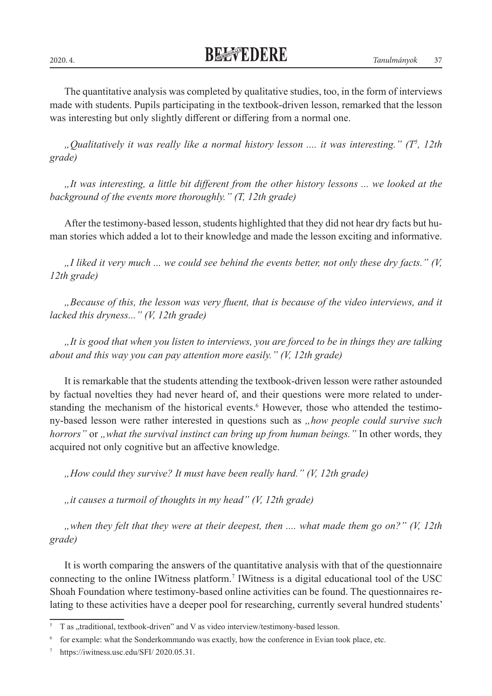2020. 4. *Tanulmányok* 37

The quantitative analysis was completed by qualitative studies, too, in the form of interviews made with students. Pupils participating in the textbook-driven lesson, remarked that the lesson was interesting but only slightly different or differing from a normal one.

*"Qualitatively it was really like a normal history lesson .... it was interesting." (T<sup>5</sup> , 12th grade)*

*"It was interesting, a little bit different from the other history lessons ... we looked at the background of the events more thoroughly." (T, 12th grade)*

After the testimony-based lesson, students highlighted that they did not hear dry facts but human stories which added a lot to their knowledge and made the lesson exciting and informative.

*"I liked it very much ... we could see behind the events better, not only these dry facts." (V, 12th grade)*

*"Because of this, the lesson was very fluent, that is because of the video interviews, and it lacked this dryness..." (V, 12th grade)*

*"It is good that when you listen to interviews, you are forced to be in things they are talking about and this way you can pay attention more easily." (V, 12th grade)*

It is remarkable that the students attending the textbook-driven lesson were rather astounded by factual novelties they had never heard of, and their questions were more related to understanding the mechanism of the historical events.<sup>6</sup> However, those who attended the testimony-based lesson were rather interested in questions such as *"how people could survive such horrors*" or *"what the survival instinct can bring up from human beings.*" In other words, they acquired not only cognitive but an affective knowledge.

*"How could they survive? It must have been really hard." (V, 12th grade)*

*"it causes a turmoil of thoughts in my head" (V, 12th grade)*

*"when they felt that they were at their deepest, then .... what made them go on?" (V, 12th grade)*

It is worth comparing the answers of the quantitative analysis with that of the questionnaire connecting to the online IWitness platform.7 IWitness is a digital educational tool of the USC Shoah Foundation where testimony-based online activities can be found. The questionnaires relating to these activities have a deeper pool for researching, currently several hundred students'

T as "traditional, textbook-driven" and V as video interview/testimony-based lesson.

<sup>6</sup> for example: what the Sonderkommando was exactly, how the conference in Evian took place, etc.

https://iwitness.usc.edu/SFI/ 2020.05.31.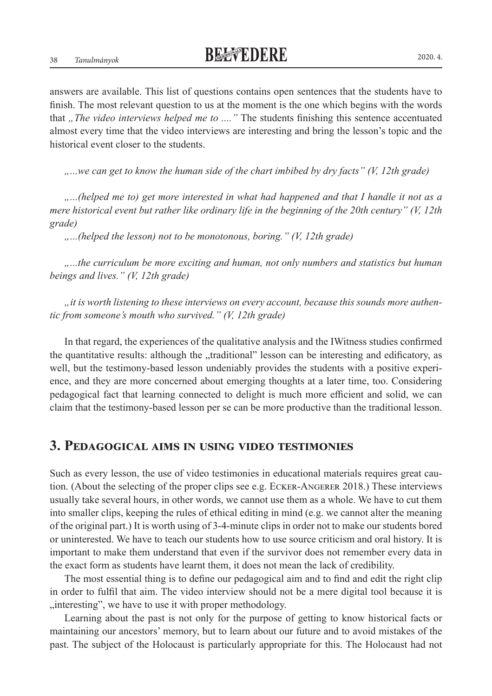38 *Tanulmányok* 2020. 4.

answers are available. This list of questions contains open sentences that the students have to finish. The most relevant question to us at the moment is the one which begins with the words that "*The video interviews helped me to* ...." The students finishing this sentence accentuated almost every time that the video interviews are interesting and bring the lesson's topic and the historical event closer to the students.

*"...we can get to know the human side of the chart imbibed by dry facts" (V, 12th grade)*

*"...(helped me to) get more interested in what had happened and that I handle it not as a mere historical event but rather like ordinary life in the beginning of the 20th century" (V, 12th grade)*

*"...(helped the lesson) not to be monotonous, boring." (V, 12th grade)*

*"...the curriculum be more exciting and human, not only numbers and statistics but human beings and lives." (V, 12th grade)*

*"it is worth listening to these interviews on every account, because this sounds more authentic from someone's mouth who survived." (V, 12th grade)*

In that regard, the experiences of the qualitative analysis and the IWitness studies confirmed the quantitative results: although the "traditional" lesson can be interesting and edificatory, as well, but the testimony-based lesson undeniably provides the students with a positive experience, and they are more concerned about emerging thoughts at a later time, too. Considering pedagogical fact that learning connected to delight is much more efficient and solid, we can claim that the testimony-based lesson per se can be more productive than the traditional lesson.

#### **3. Pedagogical aims in using video testimonies**

Such as every lesson, the use of video testimonies in educational materials requires great caution. (About the selecting of the proper clips see e.g. Ecker-Angerer 2018.) These interviews usually take several hours, in other words, we cannot use them as a whole. We have to cut them into smaller clips, keeping the rules of ethical editing in mind (e.g. we cannot alter the meaning of the original part.) It is worth using of 3-4-minute clips in order not to make our students bored or uninterested. We have to teach our students how to use source criticism and oral history. It is important to make them understand that even if the survivor does not remember every data in the exact form as students have learnt them, it does not mean the lack of credibility.

The most essential thing is to define our pedagogical aim and to find and edit the right clip in order to fulfil that aim. The video interview should not be a mere digital tool because it is "interesting", we have to use it with proper methodology.

Learning about the past is not only for the purpose of getting to know historical facts or maintaining our ancestors' memory, but to learn about our future and to avoid mistakes of the past. The subject of the Holocaust is particularly appropriate for this. The Holocaust had not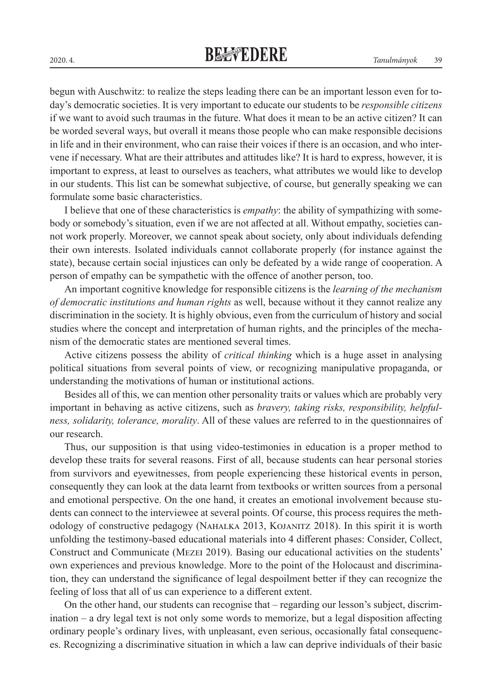begun with Auschwitz: to realize the steps leading there can be an important lesson even for today's democratic societies. It is very important to educate our students to be *responsible citizens* if we want to avoid such traumas in the future. What does it mean to be an active citizen? It can be worded several ways, but overall it means those people who can make responsible decisions in life and in their environment, who can raise their voices if there is an occasion, and who intervene if necessary. What are their attributes and attitudes like? It is hard to express, however, it is important to express, at least to ourselves as teachers, what attributes we would like to develop in our students. This list can be somewhat subjective, of course, but generally speaking we can formulate some basic characteristics.

I believe that one of these characteristics is *empathy*: the ability of sympathizing with somebody or somebody's situation, even if we are not affected at all. Without empathy, societies cannot work properly. Moreover, we cannot speak about society, only about individuals defending their own interests. Isolated individuals cannot collaborate properly (for instance against the state), because certain social injustices can only be defeated by a wide range of cooperation. A person of empathy can be sympathetic with the offence of another person, too.

An important cognitive knowledge for responsible citizens is the *learning of the mechanism of democratic institutions and human rights* as well, because without it they cannot realize any discrimination in the society. It is highly obvious, even from the curriculum of history and social studies where the concept and interpretation of human rights, and the principles of the mechanism of the democratic states are mentioned several times.

Active citizens possess the ability of *critical thinking* which is a huge asset in analysing political situations from several points of view, or recognizing manipulative propaganda, or understanding the motivations of human or institutional actions.

Besides all of this, we can mention other personality traits or values which are probably very important in behaving as active citizens, such as *bravery, taking risks, responsibility, helpfulness, solidarity, tolerance, morality*. All of these values are referred to in the questionnaires of our research.

Thus, our supposition is that using video-testimonies in education is a proper method to develop these traits for several reasons. First of all, because students can hear personal stories from survivors and eyewitnesses, from people experiencing these historical events in person, consequently they can look at the data learnt from textbooks or written sources from a personal and emotional perspective. On the one hand, it creates an emotional involvement because students can connect to the interviewee at several points. Of course, this process requires the methodology of constructive pedagogy (Nahalka 2013, Kojanitz 2018). In this spirit it is worth unfolding the testimony-based educational materials into 4 different phases: Consider, Collect, Construct and Communicate (Mezei 2019). Basing our educational activities on the students' own experiences and previous knowledge. More to the point of the Holocaust and discrimination, they can understand the significance of legal despoilment better if they can recognize the feeling of loss that all of us can experience to a different extent.

On the other hand, our students can recognise that – regarding our lesson's subject, discrimination – a dry legal text is not only some words to memorize, but a legal disposition affecting ordinary people's ordinary lives, with unpleasant, even serious, occasionally fatal consequences. Recognizing a discriminative situation in which a law can deprive individuals of their basic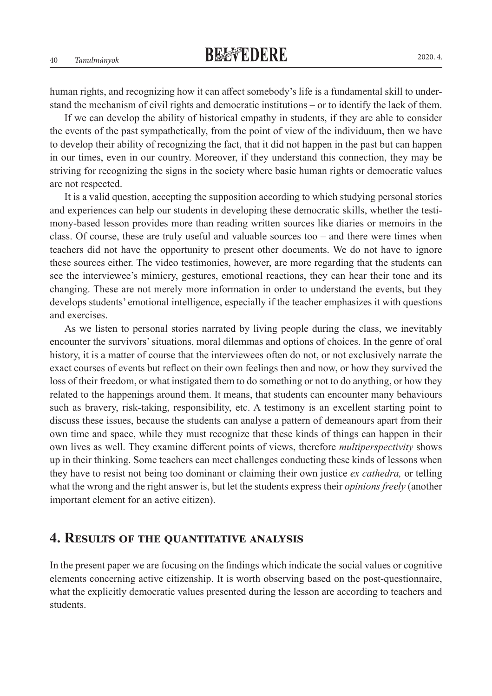human rights, and recognizing how it can affect somebody's life is a fundamental skill to understand the mechanism of civil rights and democratic institutions – or to identify the lack of them.

If we can develop the ability of historical empathy in students, if they are able to consider the events of the past sympathetically, from the point of view of the individuum, then we have to develop their ability of recognizing the fact, that it did not happen in the past but can happen in our times, even in our country. Moreover, if they understand this connection, they may be striving for recognizing the signs in the society where basic human rights or democratic values are not respected.

It is a valid question, accepting the supposition according to which studying personal stories and experiences can help our students in developing these democratic skills, whether the testimony-based lesson provides more than reading written sources like diaries or memoirs in the class. Of course, these are truly useful and valuable sources too – and there were times when teachers did not have the opportunity to present other documents. We do not have to ignore these sources either. The video testimonies, however, are more regarding that the students can see the interviewee's mimicry, gestures, emotional reactions, they can hear their tone and its changing. These are not merely more information in order to understand the events, but they develops students' emotional intelligence, especially if the teacher emphasizes it with questions and exercises.

As we listen to personal stories narrated by living people during the class, we inevitably encounter the survivors' situations, moral dilemmas and options of choices. In the genre of oral history, it is a matter of course that the interviewees often do not, or not exclusively narrate the exact courses of events but reflect on their own feelings then and now, or how they survived the loss of their freedom, or what instigated them to do something or not to do anything, or how they related to the happenings around them. It means, that students can encounter many behaviours such as bravery, risk-taking, responsibility, etc. A testimony is an excellent starting point to discuss these issues, because the students can analyse a pattern of demeanours apart from their own time and space, while they must recognize that these kinds of things can happen in their own lives as well. They examine different points of views, therefore *multiperspectivity* shows up in their thinking. Some teachers can meet challenges conducting these kinds of lessons when they have to resist not being too dominant or claiming their own justice *ex cathedra,* or telling what the wrong and the right answer is, but let the students express their *opinions freely* (another important element for an active citizen).

#### **4. Results of the quantitative analysis**

In the present paper we are focusing on the findings which indicate the social values or cognitive elements concerning active citizenship. It is worth observing based on the post-questionnaire, what the explicitly democratic values presented during the lesson are according to teachers and students.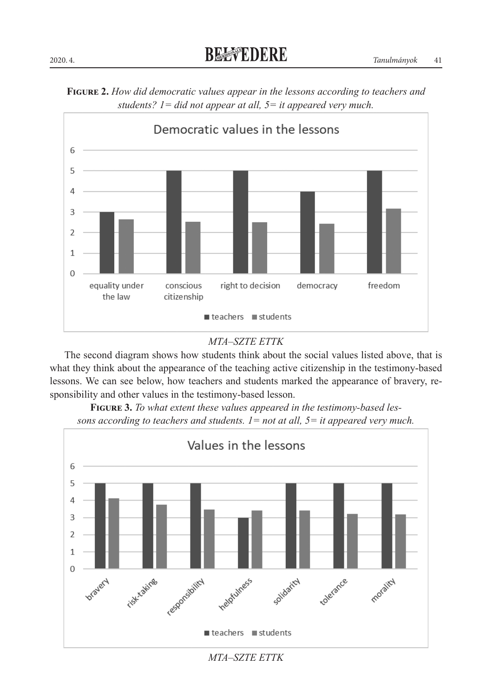



#### *MTA–SZTE ETTK*

The second diagram shows how students think about the social values listed above, that is what they think about the appearance of the teaching active citizenship in the testimony-based lessons. We can see below, how teachers and students marked the appearance of bravery, responsibility and other values in the testimony-based lesson.



**Figure 3.** *To what extent these values appeared in the testimony-based lessons according to teachers and students. 1= not at all, 5= it appeared very much.* 

*MTA–SZTE ETTK*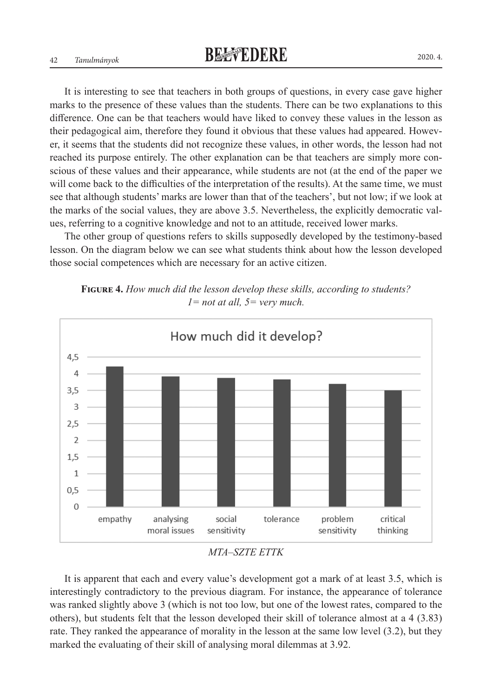It is interesting to see that teachers in both groups of questions, in every case gave higher marks to the presence of these values than the students. There can be two explanations to this difference. One can be that teachers would have liked to convey these values in the lesson as their pedagogical aim, therefore they found it obvious that these values had appeared. However, it seems that the students did not recognize these values, in other words, the lesson had not reached its purpose entirely. The other explanation can be that teachers are simply more conscious of these values and their appearance, while students are not (at the end of the paper we will come back to the difficulties of the interpretation of the results). At the same time, we must see that although students' marks are lower than that of the teachers', but not low; if we look at the marks of the social values, they are above 3.5. Nevertheless, the explicitly democratic values, referring to a cognitive knowledge and not to an attitude, received lower marks.

The other group of questions refers to skills supposedly developed by the testimony-based lesson. On the diagram below we can see what students think about how the lesson developed those social competences which are necessary for an active citizen.

**Figure 4.** *How much did the lesson develop these skills, according to students? 1= not at all, 5= very much.*



*MTA–SZTE ETTK*

It is apparent that each and every value's development got a mark of at least 3.5, which is interestingly contradictory to the previous diagram. For instance, the appearance of tolerance was ranked slightly above 3 (which is not too low, but one of the lowest rates, compared to the others), but students felt that the lesson developed their skill of tolerance almost at a 4 (3.83) rate. They ranked the appearance of morality in the lesson at the same low level (3.2), but they marked the evaluating of their skill of analysing moral dilemmas at 3.92.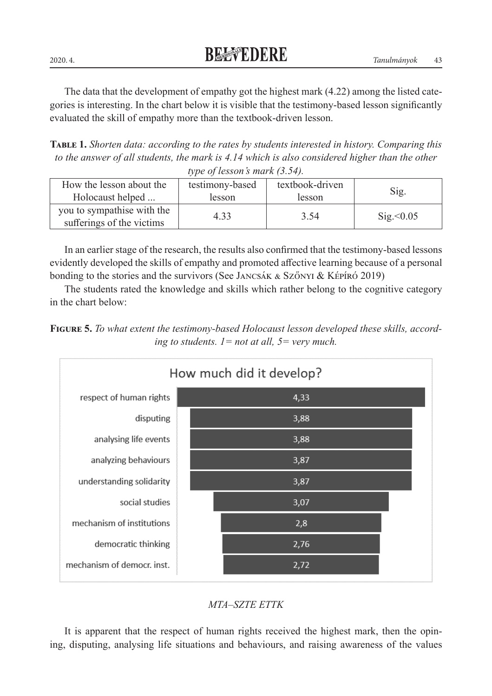The data that the development of empathy got the highest mark (4.22) among the listed categories is interesting. In the chart below it is visible that the testimony-based lesson significantly evaluated the skill of empathy more than the textbook-driven lesson.

**Table 1.** *Shorten data: according to the rates by students interested in history. Comparing this*  to the answer of all students, the mark is 4.14 which is also considered higher than the other *type of lesson's mark (3.54).*

| How the lesson about the<br>Holocaust helped            | testimony-based<br>lesson | textbook-driven<br>lesson | Sig.      |
|---------------------------------------------------------|---------------------------|---------------------------|-----------|
|                                                         |                           |                           |           |
| you to sympathise with the<br>sufferings of the victims | 4.33                      | 3.54                      | Sig< 0.05 |

In an earlier stage of the research, the results also confirmed that the testimony-based lessons evidently developed the skills of empathy and promoted affective learning because of a personal bonding to the stories and the survivors (See Jancsák & Szőnyi & Képíró 2019)

The students rated the knowledge and skills which rather belong to the cognitive category in the chart below:







It is apparent that the respect of human rights received the highest mark, then the opining, disputing, analysing life situations and behaviours, and raising awareness of the values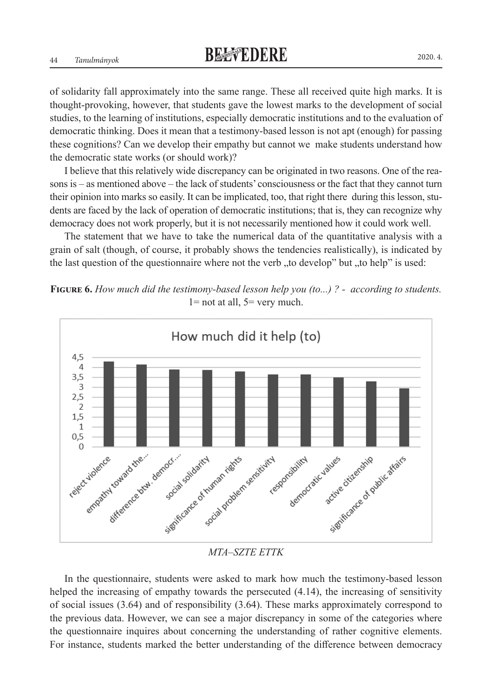of solidarity fall approximately into the same range. These all received quite high marks. It is thought-provoking, however, that students gave the lowest marks to the development of social studies, to the learning of institutions, especially democratic institutions and to the evaluation of democratic thinking. Does it mean that a testimony-based lesson is not apt (enough) for passing these cognitions? Can we develop their empathy but cannot we make students understand how the democratic state works (or should work)?

I believe that this relatively wide discrepancy can be originated in two reasons. One of the reasons is – as mentioned above – the lack of students' consciousness or the fact that they cannot turn their opinion into marks so easily. It can be implicated, too, that right there during this lesson, students are faced by the lack of operation of democratic institutions; that is, they can recognize why democracy does not work properly, but it is not necessarily mentioned how it could work well.

The statement that we have to take the numerical data of the quantitative analysis with a grain of salt (though, of course, it probably shows the tendencies realistically), is indicated by the last question of the questionnaire where not the verb  $n$ , to develop" but  $n$ , to help" is used:

**Figure 6.** *How much did the testimony-based lesson help you (to...) ? - according to students.*  $1=$  not at all,  $5=$  very much.



#### *MTA–SZTE ETTK*

In the questionnaire, students were asked to mark how much the testimony-based lesson helped the increasing of empathy towards the persecuted  $(4.14)$ , the increasing of sensitivity of social issues (3.64) and of responsibility (3.64). These marks approximately correspond to the previous data. However, we can see a major discrepancy in some of the categories where the questionnaire inquires about concerning the understanding of rather cognitive elements. For instance, students marked the better understanding of the difference between democracy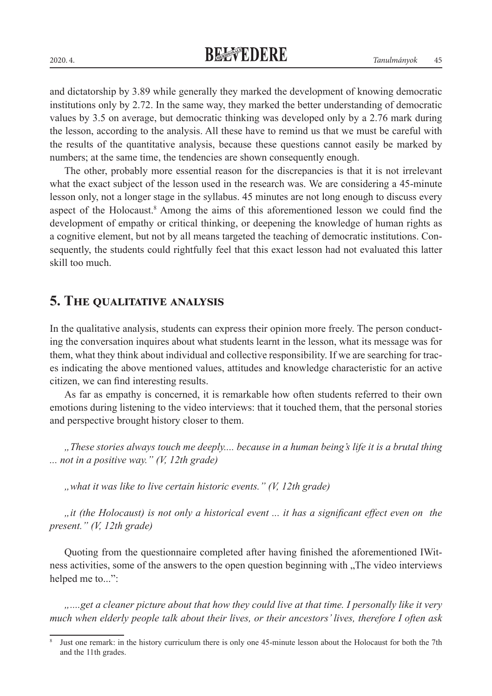and dictatorship by 3.89 while generally they marked the development of knowing democratic institutions only by 2.72. In the same way, they marked the better understanding of democratic values by 3.5 on average, but democratic thinking was developed only by a 2.76 mark during the lesson, according to the analysis. All these have to remind us that we must be careful with the results of the quantitative analysis, because these questions cannot easily be marked by numbers; at the same time, the tendencies are shown consequently enough.

The other, probably more essential reason for the discrepancies is that it is not irrelevant what the exact subject of the lesson used in the research was. We are considering a 45-minute lesson only, not a longer stage in the syllabus. 45 minutes are not long enough to discuss every aspect of the Holocaust.<sup>8</sup> Among the aims of this aforementioned lesson we could find the development of empathy or critical thinking, or deepening the knowledge of human rights as a cognitive element, but not by all means targeted the teaching of democratic institutions. Consequently, the students could rightfully feel that this exact lesson had not evaluated this latter skill too much.

## **5. The qualitative analysis**

In the qualitative analysis, students can express their opinion more freely. The person conducting the conversation inquires about what students learnt in the lesson, what its message was for them, what they think about individual and collective responsibility. If we are searching for traces indicating the above mentioned values, attitudes and knowledge characteristic for an active citizen, we can find interesting results.

As far as empathy is concerned, it is remarkable how often students referred to their own emotions during listening to the video interviews: that it touched them, that the personal stories and perspective brought history closer to them.

*"These stories always touch me deeply.... because in a human being's life it is a brutal thing ... not in a positive way." (V, 12th grade)*

*"what it was like to live certain historic events." (V, 12th grade)*

*"it (the Holocaust) is not only a historical event ... it has a significant effect even on the present." (V, 12th grade)*

Quoting from the questionnaire completed after having finished the aforementioned IWitness activities, some of the answers to the open question beginning with "The video interviews" helped me to...":

*"....get a cleaner picture about that how they could live at that time. I personally like it very much when elderly people talk about their lives, or their ancestors' lives, therefore I often ask* 

<sup>&</sup>lt;sup>8</sup> Just one remark: in the history curriculum there is only one 45-minute lesson about the Holocaust for both the 7th and the 11th grades.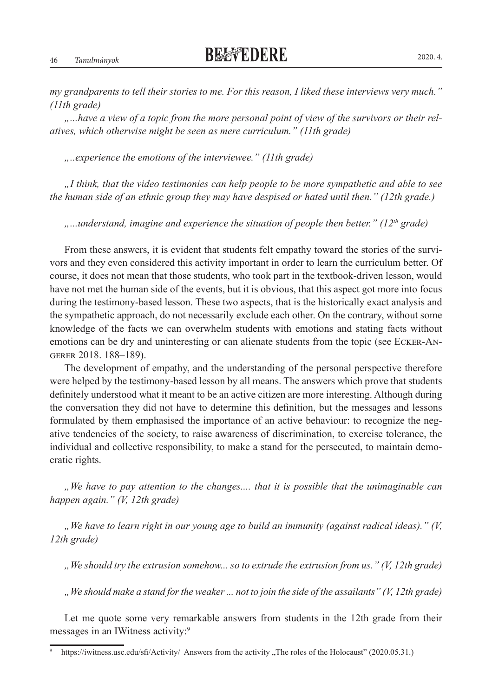*my grandparents to tell their stories to me. For this reason, I liked these interviews very much." (11th grade)*

*"...have a view of a topic from the more personal point of view of the survivors or their relatives, which otherwise might be seen as mere curriculum." (11th grade)*

*"..experience the emotions of the interviewee." (11th grade)*

*"I think, that the video testimonies can help people to be more sympathetic and able to see the human side of an ethnic group they may have despised or hated until then." (12th grade.)*

*"...understand, imagine and experience the situation of people then better." (12th grade)*

From these answers, it is evident that students felt empathy toward the stories of the survivors and they even considered this activity important in order to learn the curriculum better. Of course, it does not mean that those students, who took part in the textbook-driven lesson, would have not met the human side of the events, but it is obvious, that this aspect got more into focus during the testimony-based lesson. These two aspects, that is the historically exact analysis and the sympathetic approach, do not necessarily exclude each other. On the contrary, without some knowledge of the facts we can overwhelm students with emotions and stating facts without emotions can be dry and uninteresting or can alienate students from the topic (see Ecker-Angerer 2018. 188–189).

The development of empathy, and the understanding of the personal perspective therefore were helped by the testimony-based lesson by all means. The answers which prove that students definitely understood what it meant to be an active citizen are more interesting. Although during the conversation they did not have to determine this definition, but the messages and lessons formulated by them emphasised the importance of an active behaviour: to recognize the negative tendencies of the society, to raise awareness of discrimination, to exercise tolerance, the individual and collective responsibility, to make a stand for the persecuted, to maintain democratic rights.

*"We have to pay attention to the changes.... that it is possible that the unimaginable can happen again." (V, 12th grade)*

*"We have to learn right in our young age to build an immunity (against radical ideas)." (V, 12th grade)*

*"We should try the extrusion somehow... so to extrude the extrusion from us." (V, 12th grade)*

*"We should make a stand for the weaker ... not to join the side of the assailants" (V, 12th grade)*

Let me quote some very remarkable answers from students in the 12th grade from their messages in an IWitness activity:9

https://iwitness.usc.edu/sfi/Activity/ Answers from the activity "The roles of the Holocaust" (2020.05.31.)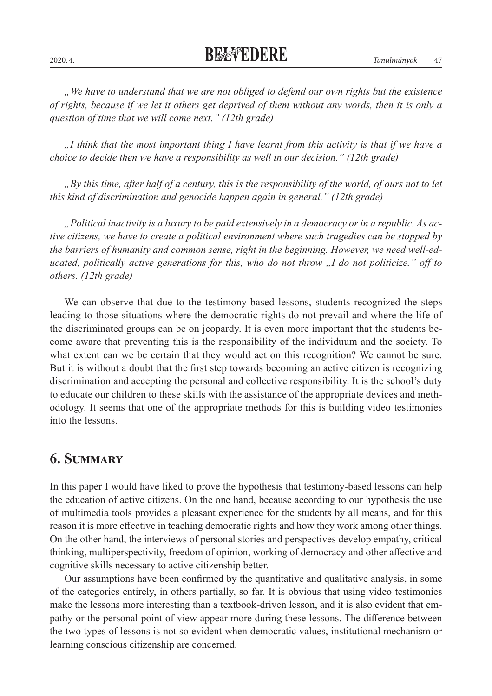*"We have to understand that we are not obliged to defend our own rights but the existence of rights, because if we let it others get deprived of them without any words, then it is only a question of time that we will come next." (12th grade)*

*"I think that the most important thing I have learnt from this activity is that if we have a choice to decide then we have a responsibility as well in our decision." (12th grade)*

*"By this time, after half of a century, this is the responsibility of the world, of ours not to let this kind of discrimination and genocide happen again in general." (12th grade)*

*"Political inactivity is a luxury to be paid extensively in a democracy or in a republic. As active citizens, we have to create a political environment where such tragedies can be stopped by the barriers of humanity and common sense, right in the beginning. However, we need well-educated, politically active generations for this, who do not throw "I do not politicize." off to others. (12th grade)*

We can observe that due to the testimony-based lessons, students recognized the steps leading to those situations where the democratic rights do not prevail and where the life of the discriminated groups can be on jeopardy. It is even more important that the students become aware that preventing this is the responsibility of the individuum and the society. To what extent can we be certain that they would act on this recognition? We cannot be sure. But it is without a doubt that the first step towards becoming an active citizen is recognizing discrimination and accepting the personal and collective responsibility. It is the school's duty to educate our children to these skills with the assistance of the appropriate devices and methodology. It seems that one of the appropriate methods for this is building video testimonies into the lessons.

## **6. Summary**

In this paper I would have liked to prove the hypothesis that testimony-based lessons can help the education of active citizens. On the one hand, because according to our hypothesis the use of multimedia tools provides a pleasant experience for the students by all means, and for this reason it is more effective in teaching democratic rights and how they work among other things. On the other hand, the interviews of personal stories and perspectives develop empathy, critical thinking, multiperspectivity, freedom of opinion, working of democracy and other affective and cognitive skills necessary to active citizenship better.

Our assumptions have been confirmed by the quantitative and qualitative analysis, in some of the categories entirely, in others partially, so far. It is obvious that using video testimonies make the lessons more interesting than a textbook-driven lesson, and it is also evident that empathy or the personal point of view appear more during these lessons. The difference between the two types of lessons is not so evident when democratic values, institutional mechanism or learning conscious citizenship are concerned.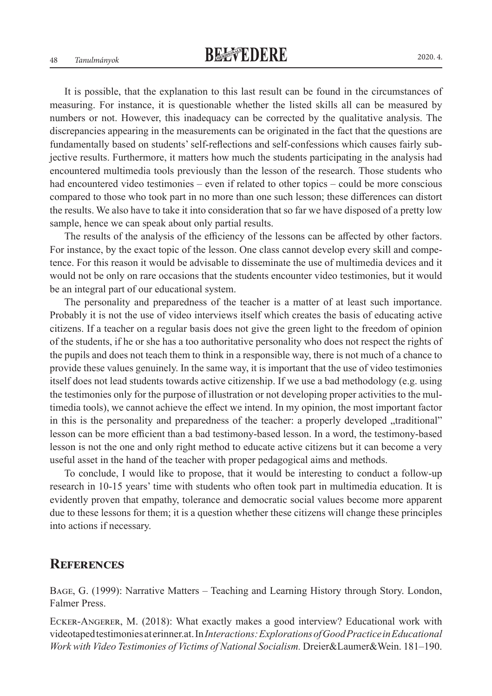It is possible, that the explanation to this last result can be found in the circumstances of measuring. For instance, it is questionable whether the listed skills all can be measured by numbers or not. However, this inadequacy can be corrected by the qualitative analysis. The discrepancies appearing in the measurements can be originated in the fact that the questions are fundamentally based on students' self-reflections and self-confessions which causes fairly subjective results. Furthermore, it matters how much the students participating in the analysis had encountered multimedia tools previously than the lesson of the research. Those students who had encountered video testimonies – even if related to other topics – could be more conscious compared to those who took part in no more than one such lesson; these differences can distort the results. We also have to take it into consideration that so far we have disposed of a pretty low sample, hence we can speak about only partial results.

The results of the analysis of the efficiency of the lessons can be affected by other factors. For instance, by the exact topic of the lesson. One class cannot develop every skill and competence. For this reason it would be advisable to disseminate the use of multimedia devices and it would not be only on rare occasions that the students encounter video testimonies, but it would be an integral part of our educational system.

The personality and preparedness of the teacher is a matter of at least such importance. Probably it is not the use of video interviews itself which creates the basis of educating active citizens. If a teacher on a regular basis does not give the green light to the freedom of opinion of the students, if he or she has a too authoritative personality who does not respect the rights of the pupils and does not teach them to think in a responsible way, there is not much of a chance to provide these values genuinely. In the same way, it is important that the use of video testimonies itself does not lead students towards active citizenship. If we use a bad methodology (e.g. using the testimonies only for the purpose of illustration or not developing proper activities to the multimedia tools), we cannot achieve the effect we intend. In my opinion, the most important factor in this is the personality and preparedness of the teacher: a properly developed "traditional" lesson can be more efficient than a bad testimony-based lesson. In a word, the testimony-based lesson is not the one and only right method to educate active citizens but it can become a very useful asset in the hand of the teacher with proper pedagogical aims and methods.

To conclude, I would like to propose, that it would be interesting to conduct a follow-up research in 10-15 years' time with students who often took part in multimedia education. It is evidently proven that empathy, tolerance and democratic social values become more apparent due to these lessons for them; it is a question whether these citizens will change these principles into actions if necessary.

## **References**

Bage, G. (1999): Narrative Matters – Teaching and Learning History through Story. London, Falmer Press.

Ecker-Angerer, M. (2018): What exactly makes a good interview? Educational work with videotaped testimonies at erinner.at. In *Interactions: Explorations of Good Practice in Educational Work with Video Testimonies of Victims of National Socialism.* Dreier&Laumer&Wein. 181–190.